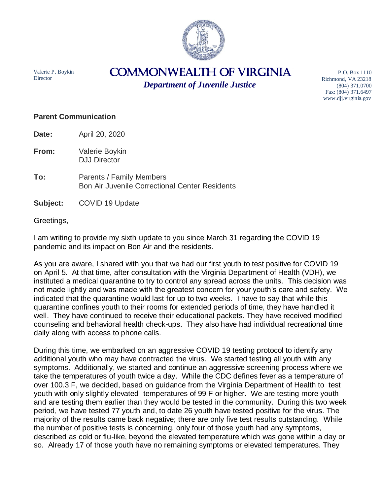

Valerie P. Boykin **Director** 

## COMMONWEALTH of VIRGINIA

*Department of Juvenile Justice*

P.O. Box 1110 Richmond, VA 23218 (804) 371.0700 Fax: (804) 371.6497 www.djj.virginia.gov

## **Parent Communication**

**Date:** April 20, 2020

- **From:** Valerie Boykin DJJ Director
- **To:** Parents / Family Members Bon Air Juvenile Correctional Center Residents
- **Subject:** COVID 19 Update

Greetings,

I am writing to provide my sixth update to you since March 31 regarding the COVID 19 pandemic and its impact on Bon Air and the residents.

As you are aware, I shared with you that we had our first youth to test positive for COVID 19 on April 5. At that time, after consultation with the Virginia Department of Health (VDH), we instituted a medical quarantine to try to control any spread across the units. This decision was not made lightly and was made with the greatest concern for your youth's care and safety. We indicated that the quarantine would last for up to two weeks. I have to say that while this quarantine confines youth to their rooms for extended periods of time, they have handled it well. They have continued to receive their educational packets. They have received modified counseling and behavioral health check-ups. They also have had individual recreational time daily along with access to phone calls.

During this time, we embarked on an aggressive COVID 19 testing protocol to identify any additional youth who may have contracted the virus. We started testing all youth with any symptoms. Additionally, we started and continue an aggressive screening process where we take the temperatures of youth twice a day. While the CDC defines fever as a temperature of over 100.3 F, we decided, based on guidance from the Virginia Department of Health to test youth with only slightly elevated temperatures of 99 F or higher. We are testing more youth and are testing them earlier than they would be tested in the community. During this two week period, we have tested 77 youth and, to date 26 youth have tested positive for the virus. The majority of the results came back negative; there are only five test results outstanding. While the number of positive tests is concerning, only four of those youth had any symptoms, described as cold or flu-like, beyond the elevated temperature which was gone within a day or so. Already 17 of those youth have no remaining symptoms or elevated temperatures. They